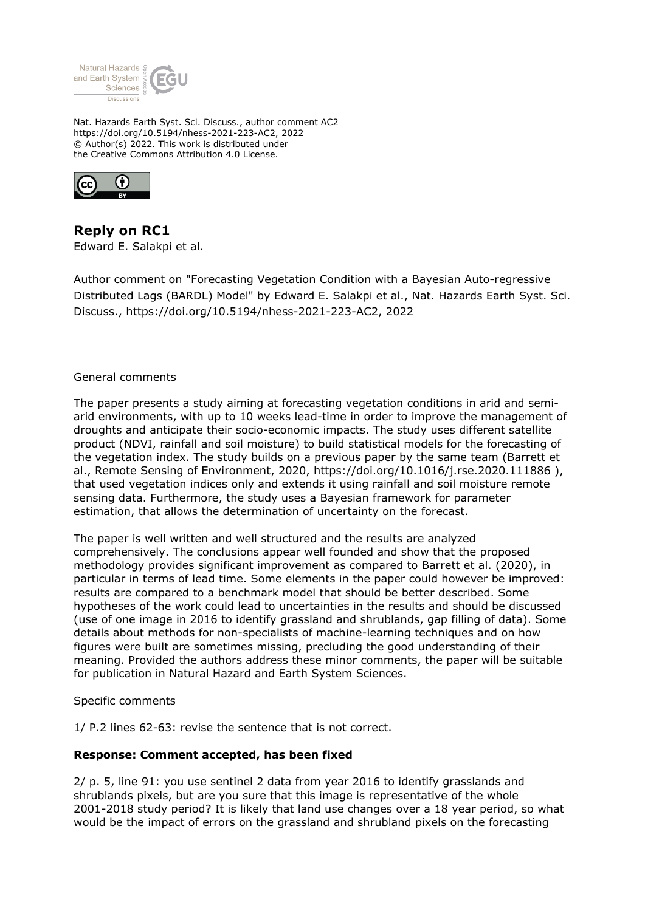

Nat. Hazards Earth Syst. Sci. Discuss., author comment AC2 https://doi.org/10.5194/nhess-2021-223-AC2, 2022 © Author(s) 2022. This work is distributed under the Creative Commons Attribution 4.0 License.



**Reply on RC1** Edward E. Salakpi et al.

Author comment on "Forecasting Vegetation Condition with a Bayesian Auto-regressive Distributed Lags (BARDL) Model" by Edward E. Salakpi et al., Nat. Hazards Earth Syst. Sci. Discuss., https://doi.org/10.5194/nhess-2021-223-AC2, 2022

## General comments

The paper presents a study aiming at forecasting vegetation conditions in arid and semiarid environments, with up to 10 weeks lead-time in order to improve the management of droughts and anticipate their socio-economic impacts. The study uses different satellite product (NDVI, rainfall and soil moisture) to build statistical models for the forecasting of the vegetation index. The study builds on a previous paper by the same team (Barrett et al., Remote Sensing of Environment, 2020, https://doi.org/10.1016/j.rse.2020.111886 ), that used vegetation indices only and extends it using rainfall and soil moisture remote sensing data. Furthermore, the study uses a Bayesian framework for parameter estimation, that allows the determination of uncertainty on the forecast.

The paper is well written and well structured and the results are analyzed comprehensively. The conclusions appear well founded and show that the proposed methodology provides significant improvement as compared to Barrett et al. (2020), in particular in terms of lead time. Some elements in the paper could however be improved: results are compared to a benchmark model that should be better described. Some hypotheses of the work could lead to uncertainties in the results and should be discussed (use of one image in 2016 to identify grassland and shrublands, gap filling of data). Some details about methods for non-specialists of machine-learning techniques and on how figures were built are sometimes missing, precluding the good understanding of their meaning. Provided the authors address these minor comments, the paper will be suitable for publication in Natural Hazard and Earth System Sciences.

#### Specific comments

1/ P.2 lines 62-63: revise the sentence that is not correct.

## **Response: Comment accepted, has been fixed**

2/ p. 5, line 91: you use sentinel 2 data from year 2016 to identify grasslands and shrublands pixels, but are you sure that this image is representative of the whole 2001-2018 study period? It is likely that land use changes over a 18 year period, so what would be the impact of errors on the grassland and shrubland pixels on the forecasting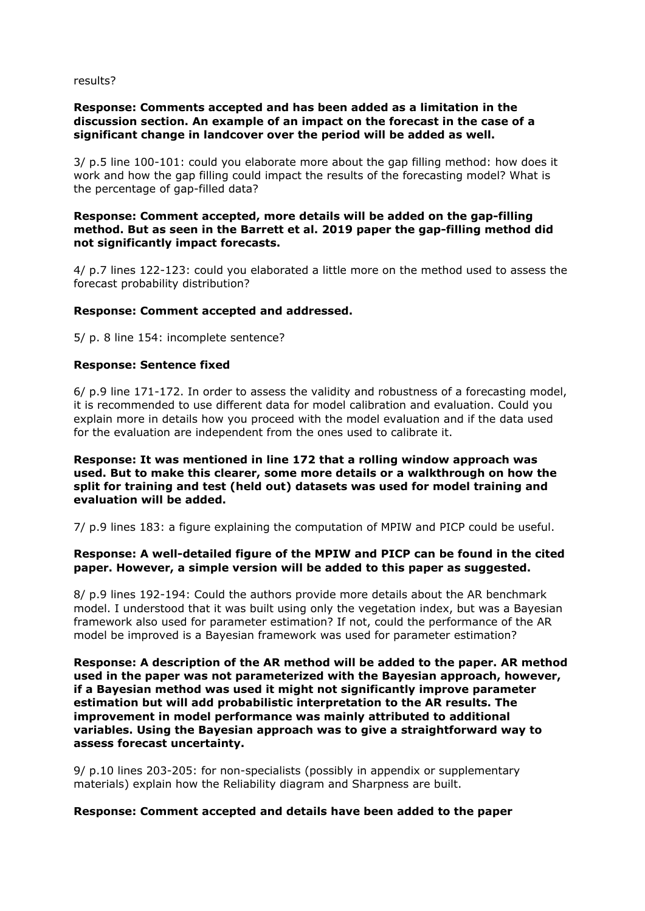#### results?

# **Response: Comments accepted and has been added as a limitation in the discussion section. An example of an impact on the forecast in the case of a significant change in landcover over the period will be added as well.**

3/ p.5 line 100-101: could you elaborate more about the gap filling method: how does it work and how the gap filling could impact the results of the forecasting model? What is the percentage of gap-filled data?

## **Response: Comment accepted, more details will be added on the gap-filling method. But as seen in the Barrett et al. 2019 paper the gap-filling method did not significantly impact forecasts.**

4/ p.7 lines 122-123: could you elaborated a little more on the method used to assess the forecast probability distribution?

## **Response: Comment accepted and addressed.**

5/ p. 8 line 154: incomplete sentence?

## **Response: Sentence fixed**

6/ p.9 line 171-172. In order to assess the validity and robustness of a forecasting model, it is recommended to use different data for model calibration and evaluation. Could you explain more in details how you proceed with the model evaluation and if the data used for the evaluation are independent from the ones used to calibrate it.

## **Response: It was mentioned in line 172 that a rolling window approach was used. But to make this clearer, some more details or a walkthrough on how the split for training and test (held out) datasets was used for model training and evaluation will be added.**

7/ p.9 lines 183: a figure explaining the computation of MPIW and PICP could be useful.

# **Response: A well-detailed figure of the MPIW and PICP can be found in the cited paper. However, a simple version will be added to this paper as suggested.**

8/ p.9 lines 192-194: Could the authors provide more details about the AR benchmark model. I understood that it was built using only the vegetation index, but was a Bayesian framework also used for parameter estimation? If not, could the performance of the AR model be improved is a Bayesian framework was used for parameter estimation?

**Response: A description of the AR method will be added to the paper. AR method used in the paper was not parameterized with the Bayesian approach, however, if a Bayesian method was used it might not significantly improve parameter estimation but will add probabilistic interpretation to the AR results. The improvement in model performance was mainly attributed to additional variables. Using the Bayesian approach was to give a straightforward way to assess forecast uncertainty.** 

9/ p.10 lines 203-205: for non-specialists (possibly in appendix or supplementary materials) explain how the Reliability diagram and Sharpness are built.

## **Response: Comment accepted and details have been added to the paper**